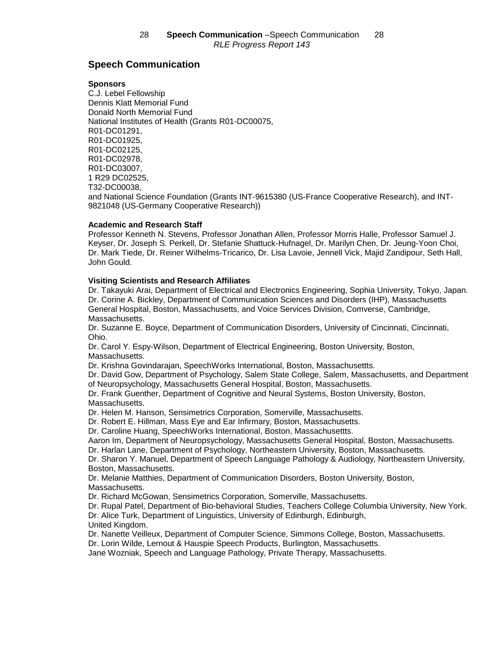# **Speech Communication**

#### **Sponsors**

C.J. Lebel Fellowship Dennis Klatt Memorial Fund Donald North Memorial Fund National Institutes of Health (Grants R01-DC00075, R01-DC01291, R01-DC01925, R01-DC02125, R01-DC02978, R01-DC03007, 1 R29 DC02525, T32-DC00038, and National Science Foundation (Grants INT-9615380 (US-France Cooperative Research), and INT-9821048 (US-Germany Cooperative Research))

# **Academic and Research Staff**

Professor Kenneth N. Stevens, Professor Jonathan Allen, Professor Morris Halle, Professor Samuel J. Keyser, Dr. Joseph S. Perkell, Dr. Stefanie Shattuck-Hufnagel, Dr. Marilyn Chen, Dr. Jeung-Yoon Choi, Dr. Mark Tiede, Dr. Reiner Wilhelms-Tricarico, Dr. Lisa Lavoie, Jennell Vick, Majid Zandipour, Seth Hall, John Gould.

# **Visiting Scientists and Research Affiliates**

Dr. Takayuki Arai, Department of Electrical and Electronics Engineering, Sophia University, Tokyo, Japan. Dr. Corine A. Bickley, Department of Communication Sciences and Disorders (IHP), Massachusetts General Hospital, Boston, Massachusetts, and Voice Services Division, Comverse, Cambridge, Massachusetts.

Dr. Suzanne E. Boyce, Department of Communication Disorders, University of Cincinnati, Cincinnati, Ohio.

Dr. Carol Y. Espy-Wilson, Department of Electrical Engineering, Boston University, Boston, Massachusetts.

Dr. Krishna Govindarajan, SpeechWorks International, Boston, Massachusettts.

Dr. David Gow, Department of Psychology, Salem State College, Salem, Massachusetts, and Department of Neuropsychology, Massachusetts General Hospital, Boston, Massachusetts.

Dr. Frank Guenther, Department of Cognitive and Neural Systems, Boston University, Boston, Massachusetts.

Dr. Helen M. Hanson, Sensimetrics Corporation, Somerville, Massachusetts.

Dr. Robert E. Hillman, Mass Eye and Ear Infirmary, Boston, Massachusetts.

Dr. Caroline Huang, SpeechWorks International, Boston, Massachusettts.

Aaron Im, Department of Neuropsychology, Massachusetts General Hospital, Boston, Massachusetts.

Dr. Harlan Lane, Department of Psychology, Northeastern University, Boston, Massachusetts.

Dr. Sharon Y. Manuel, Department of Speech Language Pathology & Audiology, Northeastern University, Boston, Massachusetts.

Dr. Melanie Matthies, Department of Communication Disorders, Boston University, Boston, Massachusetts.

Dr. Richard McGowan, Sensimetrics Corporation, Somerville, Massachusetts.

Dr. Rupal Patel, Department of Bio-behavioral Studies, Teachers College Columbia University, New York. Dr. Alice Turk, Department of Linguistics, University of Edinburgh, Edinburgh,

United Kingdom.

Dr. Nanette Veilleux, Department of Computer Science, Simmons College, Boston, Massachusetts.

Dr. Lorin Wilde, Lernout & Hauspie Speech Products, Burlington, Massachusetts.

Jane Wozniak, Speech and Language Pathology, Private Therapy, Massachusetts.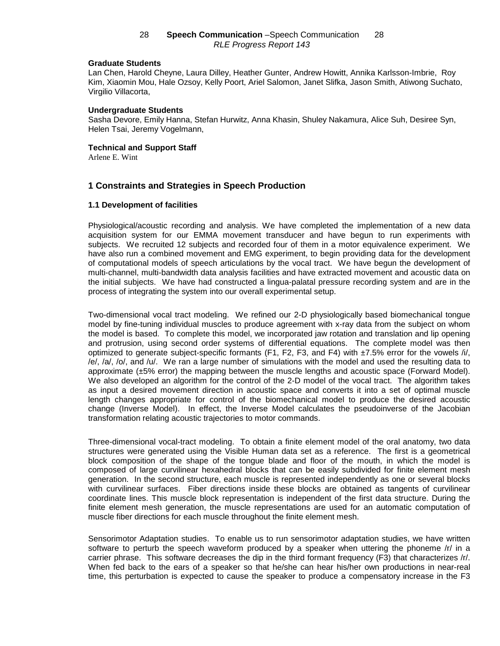#### **Graduate Students**

Lan Chen, Harold Cheyne, Laura Dilley, Heather Gunter, Andrew Howitt, Annika Karlsson-Imbrie, Roy Kim, Xiaomin Mou, Hale Ozsoy, Kelly Poort, Ariel Salomon, Janet Slifka, Jason Smith, Atiwong Suchato, Virgilio Villacorta,

#### **Undergraduate Students**

Sasha Devore, Emily Hanna, Stefan Hurwitz, Anna Khasin, Shuley Nakamura, Alice Suh, Desiree Syn, Helen Tsai, Jeremy Vogelmann,

#### **Technical and Support Staff**

Arlene E. Wint

# **1 Constraints and Strategies in Speech Production**

#### **1.1 Development of facilities**

Physiological/acoustic recording and analysis. We have completed the implementation of a new data acquisition system for our EMMA movement transducer and have begun to run experiments with subjects. We recruited 12 subjects and recorded four of them in a motor equivalence experiment. We have also run a combined movement and EMG experiment, to begin providing data for the development of computational models of speech articulations by the vocal tract. We have begun the development of multi-channel, multi-bandwidth data analysis facilities and have extracted movement and acoustic data on the initial subjects. We have had constructed a lingua-palatal pressure recording system and are in the process of integrating the system into our overall experimental setup.

Two-dimensional vocal tract modeling. We refined our 2-D physiologically based biomechanical tongue model by fine-tuning individual muscles to produce agreement with x-ray data from the subject on whom the model is based. To complete this model, we incorporated jaw rotation and translation and lip opening and protrusion, using second order systems of differential equations. The complete model was then optimized to generate subject-specific formants (F1, F2, F3, and F4) with ±7.5% error for the vowels /i/, /e/, /a/, /o/, and /u/. We ran a large number of simulations with the model and used the resulting data to approximate (±5% error) the mapping between the muscle lengths and acoustic space (Forward Model). We also developed an algorithm for the control of the 2-D model of the vocal tract. The algorithm takes as input a desired movement direction in acoustic space and converts it into a set of optimal muscle length changes appropriate for control of the biomechanical model to produce the desired acoustic change (Inverse Model). In effect, the Inverse Model calculates the pseudoinverse of the Jacobian transformation relating acoustic trajectories to motor commands.

Three-dimensional vocal-tract modeling. To obtain a finite element model of the oral anatomy, two data structures were generated using the Visible Human data set as a reference. The first is a geometrical block composition of the shape of the tongue blade and floor of the mouth, in which the model is composed of large curvilinear hexahedral blocks that can be easily subdivided for finite element mesh generation. In the second structure, each muscle is represented independently as one or several blocks with curvilinear surfaces. Fiber directions inside these blocks are obtained as tangents of curvilinear coordinate lines. This muscle block representation is independent of the first data structure. During the finite element mesh generation, the muscle representations are used for an automatic computation of muscle fiber directions for each muscle throughout the finite element mesh.

Sensorimotor Adaptation studies. To enable us to run sensorimotor adaptation studies, we have written software to perturb the speech waveform produced by a speaker when uttering the phoneme /r/ in a carrier phrase. This software decreases the dip in the third formant frequency (F3) that characterizes /r/. When fed back to the ears of a speaker so that he/she can hear his/her own productions in near-real time, this perturbation is expected to cause the speaker to produce a compensatory increase in the F3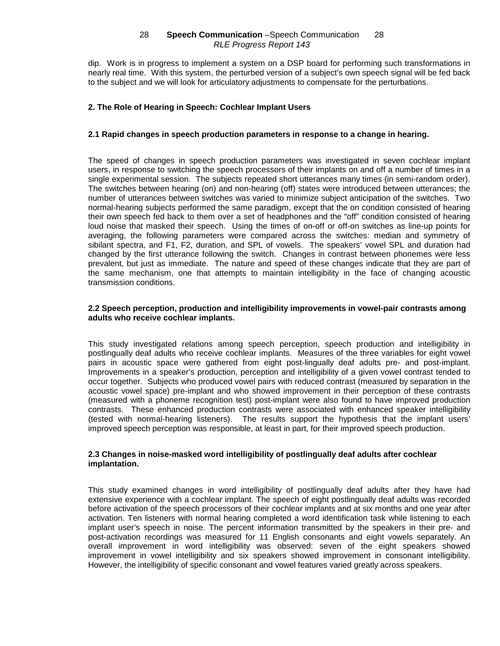dip. Work is in progress to implement a system on a DSP board for performing such transformations in nearly real time. With this system, the perturbed version of a subject's own speech signal will be fed back to the subject and we will look for articulatory adjustments to compensate for the perturbations.

# **2. The Role of Hearing in Speech: Cochlear Implant Users**

# **2.1 Rapid changes in speech production parameters in response to a change in hearing.**

The speed of changes in speech production parameters was investigated in seven cochlear implant users, in response to switching the speech processors of their implants on and off a number of times in a single experimental session. The subjects repeated short utterances many times (in semi-random order). The switches between hearing (on) and non-hearing (off) states were introduced between utterances; the number of utterances between switches was varied to minimize subject anticipation of the switches. Two normal-hearing subjects performed the same paradigm, except that the on condition consisted of hearing their own speech fed back to them over a set of headphones and the "off" condition consisted of hearing loud noise that masked their speech. Using the times of on-off or off-on switches as line-up points for averaging, the following parameters were compared across the switches: median and symmetry of sibilant spectra, and F1, F2, duration, and SPL of vowels. The speakers' vowel SPL and duration had changed by the first utterance following the switch. Changes in contrast between phonemes were less prevalent, but just as immediate. The nature and speed of these changes indicate that they are part of the same mechanism, one that attempts to maintain intelligibility in the face of changing acoustic transmission conditions.

### **2.2 Speech perception, production and intelligibility improvements in vowel-pair contrasts among adults who receive cochlear implants.**

This study investigated relations among speech perception, speech production and intelligibility in postlingually deaf adults who receive cochlear implants. Measures of the three variables for eight vowel pairs in acoustic space were gathered from eight post-lingually deaf adults pre- and post-implant. Improvements in a speaker's production, perception and intelligibility of a given vowel contrast tended to occur together. Subjects who produced vowel pairs with reduced contrast (measured by separation in the acoustic vowel space) pre-implant and who showed improvement in their perception of these contrasts (measured with a phoneme recognition test) post-implant were also found to have improved production contrasts. These enhanced production contrasts were associated with enhanced speaker intelligibility (tested with normal-hearing listeners). The results support the hypothesis that the implant users' improved speech perception was responsible, at least in part, for their improved speech production.

# **2.3 Changes in noise-masked word intelligibility of postlingually deaf adults after cochlear implantation.**

This study examined changes in word intelligibility of postlingually deaf adults after they have had extensive experience with a cochlear implant. The speech of eight postlingually deaf adults was recorded before activation of the speech processors of their cochlear implants and at six months and one year after activation. Ten listeners with normal hearing completed a word identification task while listening to each implant user's speech in noise. The percent information transmitted by the speakers in their pre- and post-activation recordings was measured for 11 English consonants and eight vowels separately. An overall improvement in word intelligibility was observed: seven of the eight speakers showed improvement in vowel intelligibility and six speakers showed improvement in consonant intelligibility. However, the intelligibility of specific consonant and vowel features varied greatly across speakers.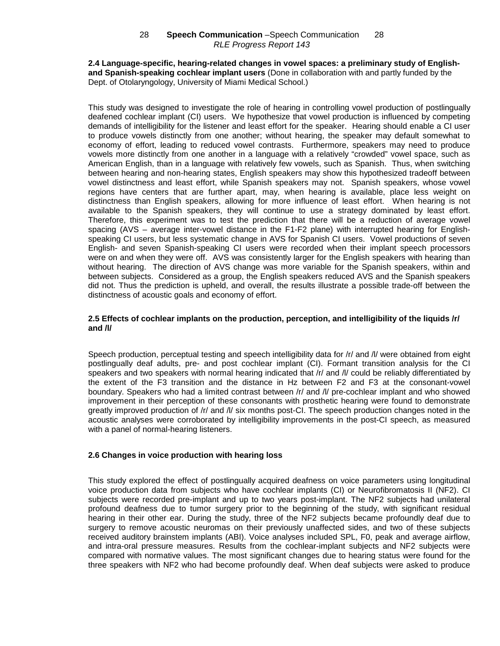## **2.4 Language-specific, hearing-related changes in vowel spaces: a preliminary study of Englishand Spanish-speaking cochlear implant users** (Done in collaboration with and partly funded by the Dept. of Otolaryngology, University of Miami Medical School.)

This study was designed to investigate the role of hearing in controlling vowel production of postlingually deafened cochlear implant (CI) users. We hypothesize that vowel production is influenced by competing demands of intelligibility for the listener and least effort for the speaker. Hearing should enable a CI user to produce vowels distinctly from one another; without hearing, the speaker may default somewhat to economy of effort, leading to reduced vowel contrasts. Furthermore, speakers may need to produce vowels more distinctly from one another in a language with a relatively "crowded" vowel space, such as American English, than in a language with relatively few vowels, such as Spanish. Thus, when switching between hearing and non-hearing states, English speakers may show this hypothesized tradeoff between vowel distinctness and least effort, while Spanish speakers may not. Spanish speakers, whose vowel regions have centers that are further apart, may, when hearing is available, place less weight on distinctness than English speakers, allowing for more influence of least effort. When hearing is not available to the Spanish speakers, they will continue to use a strategy dominated by least effort. Therefore, this experiment was to test the prediction that there will be a reduction of average vowel spacing (AVS – average inter-vowel distance in the F1-F2 plane) with interrupted hearing for Englishspeaking CI users, but less systematic change in AVS for Spanish CI users. Vowel productions of seven English- and seven Spanish-speaking CI users were recorded when their implant speech processors were on and when they were off. AVS was consistently larger for the English speakers with hearing than without hearing. The direction of AVS change was more variable for the Spanish speakers, within and between subjects. Considered as a group, the English speakers reduced AVS and the Spanish speakers did not. Thus the prediction is upheld, and overall, the results illustrate a possible trade-off between the distinctness of acoustic goals and economy of effort.

# **2.5 Effects of cochlear implants on the production, perception, and intelligibility of the liquids /r/ and /l/**

Speech production, perceptual testing and speech intelligibility data for /r/ and /l/ were obtained from eight postlingually deaf adults, pre- and post cochlear implant (CI). Formant transition analysis for the CI speakers and two speakers with normal hearing indicated that /r/ and /l/ could be reliably differentiated by the extent of the F3 transition and the distance in Hz between F2 and F3 at the consonant-vowel boundary. Speakers who had a limited contrast between /r/ and /l/ pre-cochlear implant and who showed improvement in their perception of these consonants with prosthetic hearing were found to demonstrate greatly improved production of /r/ and /l/ six months post-CI. The speech production changes noted in the acoustic analyses were corroborated by intelligibility improvements in the post-CI speech, as measured with a panel of normal-hearing listeners.

# **2.6 Changes in voice production with hearing loss**

This study explored the effect of postlingually acquired deafness on voice parameters using longitudinal voice production data from subjects who have cochlear implants (CI) or Neurofibromatosis II (NF2). CI subjects were recorded pre-implant and up to two years post-implant. The NF2 subjects had unilateral profound deafness due to tumor surgery prior to the beginning of the study, with significant residual hearing in their other ear. During the study, three of the NF2 subjects became profoundly deaf due to surgery to remove acoustic neuromas on their previously unaffected sides, and two of these subjects received auditory brainstem implants (ABI). Voice analyses included SPL, F0, peak and average airflow, and intra-oral pressure measures. Results from the cochlear-implant subjects and NF2 subjects were compared with normative values. The most significant changes due to hearing status were found for the three speakers with NF2 who had become profoundly deaf. When deaf subjects were asked to produce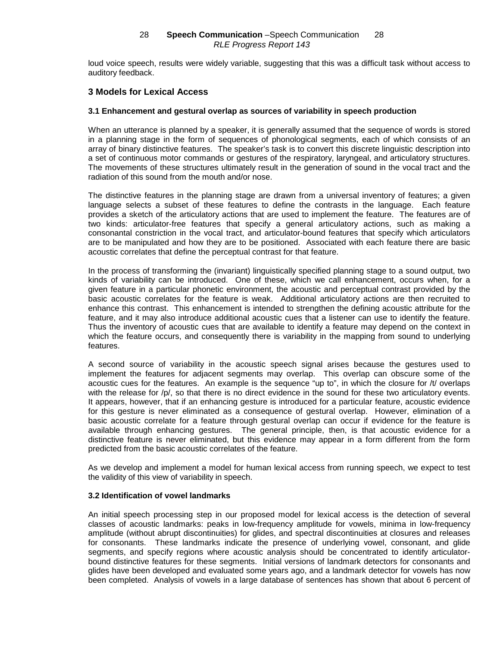loud voice speech, results were widely variable, suggesting that this was a difficult task without access to auditory feedback.

# **3 Models for Lexical Access**

## **3.1 Enhancement and gestural overlap as sources of variability in speech production**

When an utterance is planned by a speaker, it is generally assumed that the sequence of words is stored in a planning stage in the form of sequences of phonological segments, each of which consists of an array of binary distinctive features. The speaker's task is to convert this discrete linguistic description into a set of continuous motor commands or gestures of the respiratory, laryngeal, and articulatory structures. The movements of these structures ultimately result in the generation of sound in the vocal tract and the radiation of this sound from the mouth and/or nose.

The distinctive features in the planning stage are drawn from a universal inventory of features; a given language selects a subset of these features to define the contrasts in the language. Each feature provides a sketch of the articulatory actions that are used to implement the feature. The features are of two kinds: articulator-free features that specify a general articulatory actions, such as making a consonantal constriction in the vocal tract, and articulator-bound features that specify which articulators are to be manipulated and how they are to be positioned. Associated with each feature there are basic acoustic correlates that define the perceptual contrast for that feature.

In the process of transforming the (invariant) linguistically specified planning stage to a sound output, two kinds of variability can be introduced. One of these, which we call enhancement, occurs when, for a given feature in a particular phonetic environment, the acoustic and perceptual contrast provided by the basic acoustic correlates for the feature is weak. Additional articulatory actions are then recruited to enhance this contrast. This enhancement is intended to strengthen the defining acoustic attribute for the feature, and it may also introduce additional acoustic cues that a listener can use to identify the feature. Thus the inventory of acoustic cues that are available to identify a feature may depend on the context in which the feature occurs, and consequently there is variability in the mapping from sound to underlying features.

A second source of variability in the acoustic speech signal arises because the gestures used to implement the features for adjacent segments may overlap. This overlap can obscure some of the acoustic cues for the features. An example is the sequence "up to", in which the closure for /t/ overlaps with the release for /p/, so that there is no direct evidence in the sound for these two articulatory events. It appears, however, that if an enhancing gesture is introduced for a particular feature, acoustic evidence for this gesture is never eliminated as a consequence of gestural overlap. However, elimination of a basic acoustic correlate for a feature through gestural overlap can occur if evidence for the feature is available through enhancing gestures. The general principle, then, is that acoustic evidence for a distinctive feature is never eliminated, but this evidence may appear in a form different from the form predicted from the basic acoustic correlates of the feature.

As we develop and implement a model for human lexical access from running speech, we expect to test the validity of this view of variability in speech.

## **3.2 Identification of vowel landmarks**

An initial speech processing step in our proposed model for lexical access is the detection of several classes of acoustic landmarks: peaks in low-frequency amplitude for vowels, minima in low-frequency amplitude (without abrupt discontinuities) for glides, and spectral discontinuities at closures and releases for consonants. These landmarks indicate the presence of underlying vowel, consonant, and glide segments, and specify regions where acoustic analysis should be concentrated to identify articulatorbound distinctive features for these segments. Initial versions of landmark detectors for consonants and glides have been developed and evaluated some years ago, and a landmark detector for vowels has now been completed. Analysis of vowels in a large database of sentences has shown that about 6 percent of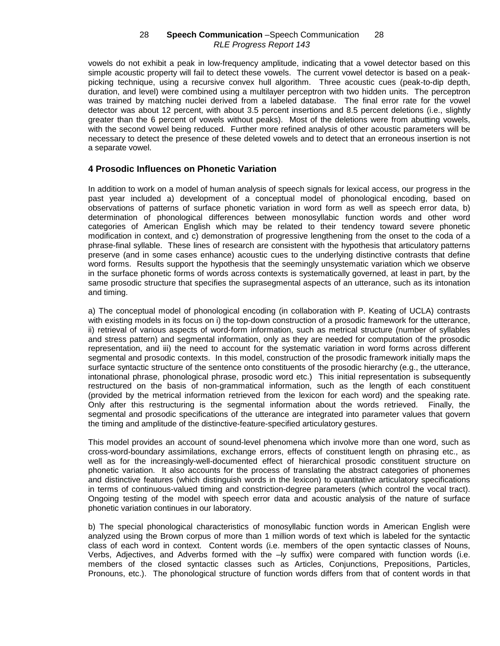vowels do not exhibit a peak in low-frequency amplitude, indicating that a vowel detector based on this simple acoustic property will fail to detect these vowels. The current vowel detector is based on a peakpicking technique, using a recursive convex hull algorithm. Three acoustic cues (peak-to-dip depth, duration, and level) were combined using a multilayer perceptron with two hidden units. The perceptron was trained by matching nuclei derived from a labeled database. The final error rate for the vowel detector was about 12 percent, with about 3.5 percent insertions and 8.5 percent deletions (i.e., slightly greater than the 6 percent of vowels without peaks). Most of the deletions were from abutting vowels, with the second vowel being reduced. Further more refined analysis of other acoustic parameters will be necessary to detect the presence of these deleted vowels and to detect that an erroneous insertion is not a separate vowel.

# **4 Prosodic Influences on Phonetic Variation**

In addition to work on a model of human analysis of speech signals for lexical access, our progress in the past year included a) development of a conceptual model of phonological encoding, based on observations of patterns of surface phonetic variation in word form as well as speech error data, b) determination of phonological differences between monosyllabic function words and other word categories of American English which may be related to their tendency toward severe phonetic modification in context, and c) demonstration of progressive lengthening from the onset to the coda of a phrase-final syllable. These lines of research are consistent with the hypothesis that articulatory patterns preserve (and in some cases enhance) acoustic cues to the underlying distinctive contrasts that define word forms. Results support the hypothesis that the seemingly unsystematic variation which we observe in the surface phonetic forms of words across contexts is systematically governed, at least in part, by the same prosodic structure that specifies the suprasegmental aspects of an utterance, such as its intonation and timing.

a) The conceptual model of phonological encoding (in collaboration with P. Keating of UCLA) contrasts with existing models in its focus on i) the top-down construction of a prosodic framework for the utterance, ii) retrieval of various aspects of word-form information, such as metrical structure (number of syllables and stress pattern) and segmental information, only as they are needed for computation of the prosodic representation, and iii) the need to account for the systematic variation in word forms across different segmental and prosodic contexts. In this model, construction of the prosodic framework initially maps the surface syntactic structure of the sentence onto constituents of the prosodic hierarchy (e.g., the utterance, intonational phrase, phonological phrase, prosodic word etc.) This initial representation is subsequently restructured on the basis of non-grammatical information, such as the length of each constituent (provided by the metrical information retrieved from the lexicon for each word) and the speaking rate. Only after this restructuring is the segmental information about the words retrieved. Finally, the segmental and prosodic specifications of the utterance are integrated into parameter values that govern the timing and amplitude of the distinctive-feature-specified articulatory gestures.

This model provides an account of sound-level phenomena which involve more than one word, such as cross-word-boundary assimilations, exchange errors, effects of constituent length on phrasing etc., as well as for the increasingly-well-documented effect of hierarchical prosodic constituent structure on phonetic variation. It also accounts for the process of translating the abstract categories of phonemes and distinctive features (which distinguish words in the lexicon) to quantitative articulatory specifications in terms of continuous-valued timing and constriction-degree parameters (which control the vocal tract). Ongoing testing of the model with speech error data and acoustic analysis of the nature of surface phonetic variation continues in our laboratory.

b) The special phonological characteristics of monosyllabic function words in American English were analyzed using the Brown corpus of more than 1 million words of text which is labeled for the syntactic class of each word in context. Content words (i.e. members of the open syntactic classes of Nouns, Verbs, Adjectives, and Adverbs formed with the –ly suffix) were compared with function words (i.e. members of the closed syntactic classes such as Articles, Conjunctions, Prepositions, Particles, Pronouns, etc.). The phonological structure of function words differs from that of content words in that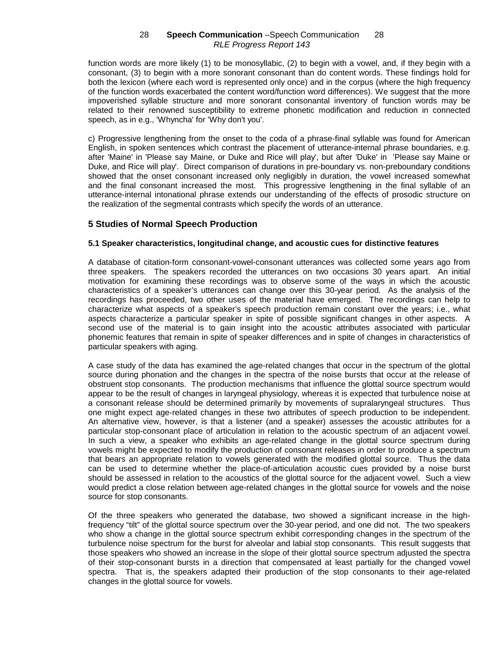function words are more likely (1) to be monosyllabic, (2) to begin with a vowel, and, if they begin with a consonant, (3) to begin with a more sonorant consonant than do content words. These findings hold for both the lexicon (where each word is represented only once) and in the corpus (where the high frequency of the function words exacerbated the content word/function word differences). We suggest that the more impoverished syllable structure and more sonorant consonantal inventory of function words may be related to their renowned susceptibility to extreme phonetic modification and reduction in connected speech, as in e.g., 'Whyncha' for 'Why don't you'.

c) Progressive lengthening from the onset to the coda of a phrase-final syllable was found for American English, in spoken sentences which contrast the placement of utterance-internal phrase boundaries, e.g. after 'Maine' in 'Please say Maine, or Duke and Rice will play', but after 'Duke' in 'Please say Maine or Duke, and Rice will play'. Direct comparison of durations in pre-boundary vs. non-preboundary conditions showed that the onset consonant increased only negligibly in duration, the vowel increased somewhat and the final consonant increased the most. This progressive lengthening in the final syllable of an utterance-internal intonational phrase extends our understanding of the effects of prosodic structure on the realization of the segmental contrasts which specify the words of an utterance.

# **5 Studies of Normal Speech Production**

## **5.1 Speaker characteristics, longitudinal change, and acoustic cues for distinctive features**

A database of citation-form consonant-vowel-consonant utterances was collected some years ago from three speakers. The speakers recorded the utterances on two occasions 30 years apart. An initial motivation for examining these recordings was to observe some of the ways in which the acoustic characteristics of a speaker's utterances can change over this 30-year period. As the analysis of the recordings has proceeded, two other uses of the material have emerged. The recordings can help to characterize what aspects of a speaker's speech production remain constant over the years; i.e., what aspects characterize a particular speaker in spite of possible significant changes in other aspects. A second use of the material is to gain insight into the acoustic attributes associated with particular phonemic features that remain in spite of speaker differences and in spite of changes in characteristics of particular speakers with aging.

A case study of the data has examined the age-related changes that occur in the spectrum of the glottal source during phonation and the changes in the spectra of the noise bursts that occur at the release of obstruent stop consonants. The production mechanisms that influence the glottal source spectrum would appear to be the result of changes in laryngeal physiology, whereas it is expected that turbulence noise at a consonant release should be determined primarily by movements of supralaryngeal structures. Thus one might expect age-related changes in these two attributes of speech production to be independent. An alternative view, however, is that a listener (and a speaker) assesses the acoustic attributes for a particular stop-consonant place of articulation in relation to the acoustic spectrum of an adjacent vowel. In such a view, a speaker who exhibits an age-related change in the glottal source spectrum during vowels might be expected to modify the production of consonant releases in order to produce a spectrum that bears an appropriate relation to vowels generated with the modified glottal source. Thus the data can be used to determine whether the place-of-articulation acoustic cues provided by a noise burst should be assessed in relation to the acoustics of the glottal source for the adjacent vowel. Such a view would predict a close relation between age-related changes in the glottal source for vowels and the noise source for stop consonants.

Of the three speakers who generated the database, two showed a significant increase in the highfrequency "tilt" of the glottal source spectrum over the 30-year period, and one did not. The two speakers who show a change in the glottal source spectrum exhibit corresponding changes in the spectrum of the turbulence noise spectrum for the burst for alveolar and labial stop consonants. This result suggests that those speakers who showed an increase in the slope of their glottal source spectrum adjusted the spectra of their stop-consonant bursts in a direction that compensated at least partially for the changed vowel spectra. That is, the speakers adapted their production of the stop consonants to their age-related changes in the glottal source for vowels.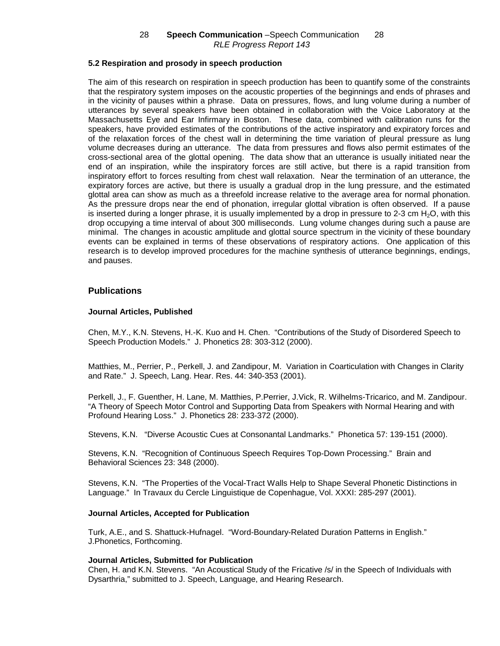# **5.2 Respiration and prosody in speech production**

The aim of this research on respiration in speech production has been to quantify some of the constraints that the respiratory system imposes on the acoustic properties of the beginnings and ends of phrases and in the vicinity of pauses within a phrase. Data on pressures, flows, and lung volume during a number of utterances by several speakers have been obtained in collaboration with the Voice Laboratory at the Massachusetts Eye and Ear Infirmary in Boston. These data, combined with calibration runs for the speakers, have provided estimates of the contributions of the active inspiratory and expiratory forces and of the relaxation forces of the chest wall in determining the time variation of pleural pressure as lung volume decreases during an utterance. The data from pressures and flows also permit estimates of the cross-sectional area of the glottal opening. The data show that an utterance is usually initiated near the end of an inspiration, while the inspiratory forces are still active, but there is a rapid transition from inspiratory effort to forces resulting from chest wall relaxation. Near the termination of an utterance, the expiratory forces are active, but there is usually a gradual drop in the lung pressure, and the estimated glottal area can show as much as a threefold increase relative to the average area for normal phonation. As the pressure drops near the end of phonation, irregular glottal vibration is often observed. If a pause is inserted during a longer phrase, it is usually implemented by a drop in pressure to 2-3 cm  $H_2O$ , with this drop occupying a time interval of about 300 milliseconds. Lung volume changes during such a pause are minimal. The changes in acoustic amplitude and glottal source spectrum in the vicinity of these boundary events can be explained in terms of these observations of respiratory actions. One application of this research is to develop improved procedures for the machine synthesis of utterance beginnings, endings, and pauses.

# **Publications**

## **Journal Articles, Published**

Chen, M.Y., K.N. Stevens, H.-K. Kuo and H. Chen. "Contributions of the Study of Disordered Speech to Speech Production Models." J. Phonetics 28: 303-312 (2000).

Matthies, M., Perrier, P., Perkell, J. and Zandipour, M. Variation in Coarticulation with Changes in Clarity and Rate." J. Speech, Lang. Hear. Res. 44: 340-353 (2001).

Perkell, J., F. Guenther, H. Lane, M. Matthies, P.Perrier, J.Vick, R. Wilhelms-Tricarico, and M. Zandipour. "A Theory of Speech Motor Control and Supporting Data from Speakers with Normal Hearing and with Profound Hearing Loss." J. Phonetics 28: 233-372 (2000).

Stevens, K.N. "Diverse Acoustic Cues at Consonantal Landmarks." Phonetica 57: 139-151 (2000).

Stevens, K.N. "Recognition of Continuous Speech Requires Top-Down Processing." Brain and Behavioral Sciences 23: 348 (2000).

Stevens, K.N. "The Properties of the Vocal-Tract Walls Help to Shape Several Phonetic Distinctions in Language." In Travaux du Cercle Linguistique de Copenhague, Vol. XXXI: 285-297 (2001).

### **Journal Articles, Accepted for Publication**

Turk, A.E., and S. Shattuck-Hufnagel. "Word-Boundary-Related Duration Patterns in English." J.Phonetics, Forthcoming.

#### **Journal Articles, Submitted for Publication**

Chen, H. and K.N. Stevens. "An Acoustical Study of the Fricative /s/ in the Speech of Individuals with Dysarthria," submitted to J. Speech, Language, and Hearing Research.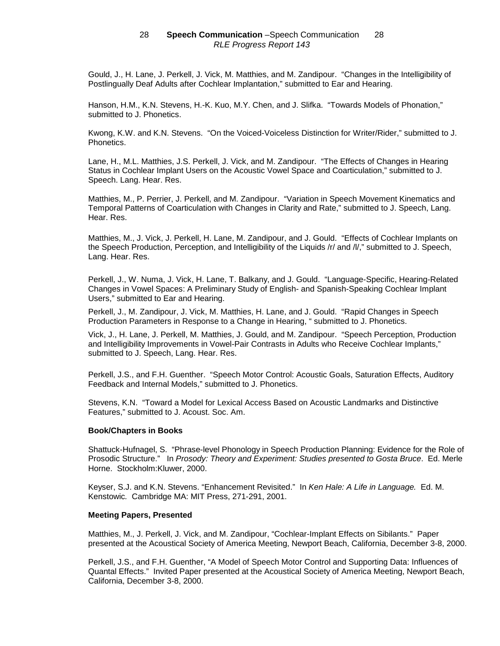Gould, J., H. Lane, J. Perkell, J. Vick, M. Matthies, and M. Zandipour. "Changes in the Intelligibility of Postlingually Deaf Adults after Cochlear Implantation," submitted to Ear and Hearing.

Hanson, H.M., K.N. Stevens, H.-K. Kuo, M.Y. Chen, and J. Slifka. "Towards Models of Phonation," submitted to J. Phonetics.

Kwong, K.W. and K.N. Stevens. "On the Voiced-Voiceless Distinction for Writer/Rider," submitted to J. Phonetics.

Lane, H., M.L. Matthies, J.S. Perkell, J. Vick, and M. Zandipour. "The Effects of Changes in Hearing Status in Cochlear Implant Users on the Acoustic Vowel Space and Coarticulation," submitted to J. Speech. Lang. Hear. Res.

Matthies, M., P. Perrier, J. Perkell, and M. Zandipour. "Variation in Speech Movement Kinematics and Temporal Patterns of Coarticulation with Changes in Clarity and Rate," submitted to J. Speech, Lang. Hear. Res.

Matthies, M., J. Vick, J. Perkell, H. Lane, M. Zandipour, and J. Gould. "Effects of Cochlear Implants on the Speech Production, Perception, and Intelligibility of the Liquids /r/ and /l/," submitted to J. Speech, Lang. Hear. Res.

Perkell, J., W. Numa, J. Vick, H. Lane, T. Balkany, and J. Gould. "Language-Specific, Hearing-Related Changes in Vowel Spaces: A Preliminary Study of English- and Spanish-Speaking Cochlear Implant Users," submitted to Ear and Hearing.

Perkell, J., M. Zandipour, J. Vick, M. Matthies, H. Lane, and J. Gould. "Rapid Changes in Speech Production Parameters in Response to a Change in Hearing, " submitted to J. Phonetics.

Vick, J., H. Lane, J. Perkell, M. Matthies, J. Gould, and M. Zandipour. "Speech Perception, Production and Intelligibility Improvements in Vowel-Pair Contrasts in Adults who Receive Cochlear Implants," submitted to J. Speech, Lang. Hear. Res.

Perkell, J.S., and F.H. Guenther. "Speech Motor Control: Acoustic Goals, Saturation Effects, Auditory Feedback and Internal Models," submitted to J. Phonetics.

Stevens, K.N. "Toward a Model for Lexical Access Based on Acoustic Landmarks and Distinctive Features," submitted to J. Acoust. Soc. Am.

#### **Book/Chapters in Books**

Shattuck-Hufnagel, S. "Phrase-level Phonology in Speech Production Planning: Evidence for the Role of Prosodic Structure." In Prosody: Theory and Experiment: Studies presented to Gosta Bruce. Ed. Merle Horne. Stockholm:Kluwer, 2000.

Keyser, S.J. and K.N. Stevens. "Enhancement Revisited." In Ken Hale: A Life in Language. Ed. M. Kenstowic. Cambridge MA: MIT Press, 271-291, 2001.

#### **Meeting Papers, Presented**

Matthies, M., J. Perkell, J. Vick, and M. Zandipour, "Cochlear-Implant Effects on Sibilants." Paper presented at the Acoustical Society of America Meeting, Newport Beach, California, December 3-8, 2000.

Perkell, J.S., and F.H. Guenther, "A Model of Speech Motor Control and Supporting Data: Influences of Quantal Effects." Invited Paper presented at the Acoustical Society of America Meeting, Newport Beach, California, December 3-8, 2000.